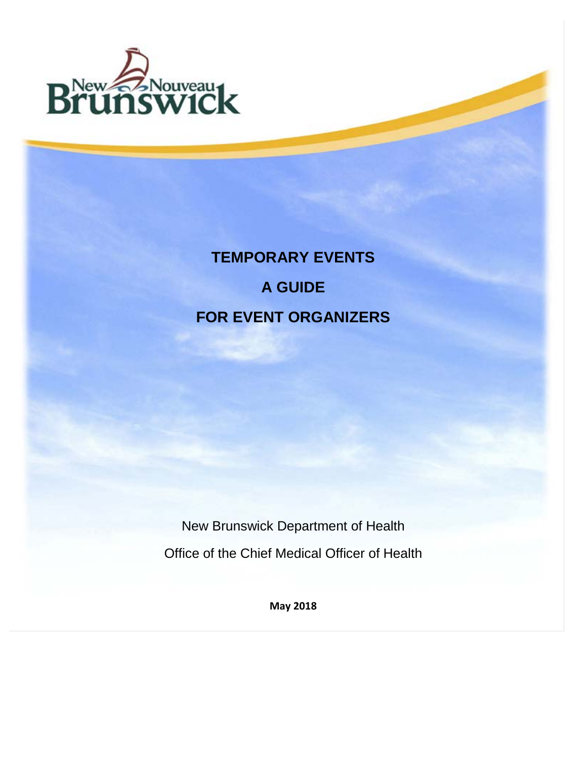

# **TEMPORARY EVENTS A GUIDE FOR EVENT ORGANIZERS**

New Brunswick Department of Health Office of the Chief Medical Officer of Health

**May 2018**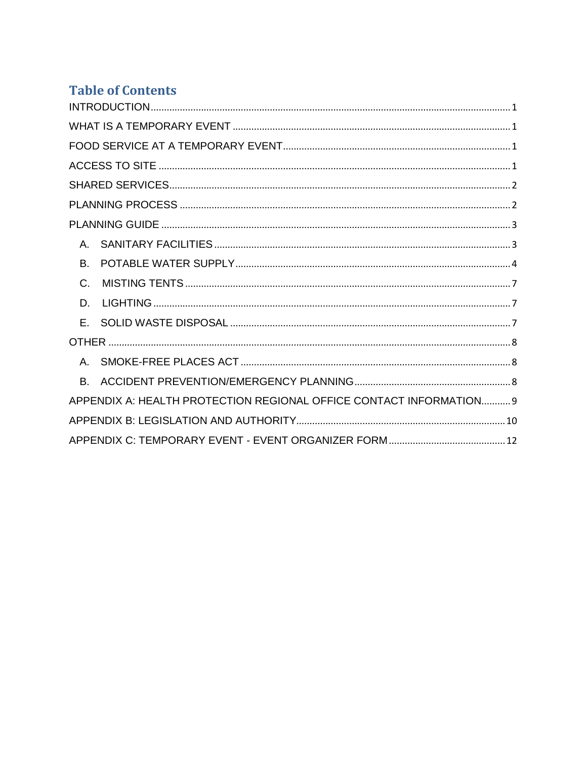# **Table of Contents**

| $\mathsf{A}$                                                        |
|---------------------------------------------------------------------|
| B.                                                                  |
| $C$ .                                                               |
| D.                                                                  |
| E.                                                                  |
|                                                                     |
| $A_{-}$                                                             |
| В.                                                                  |
| APPENDIX A: HEALTH PROTECTION REGIONAL OFFICE CONTACT INFORMATION 9 |
|                                                                     |
|                                                                     |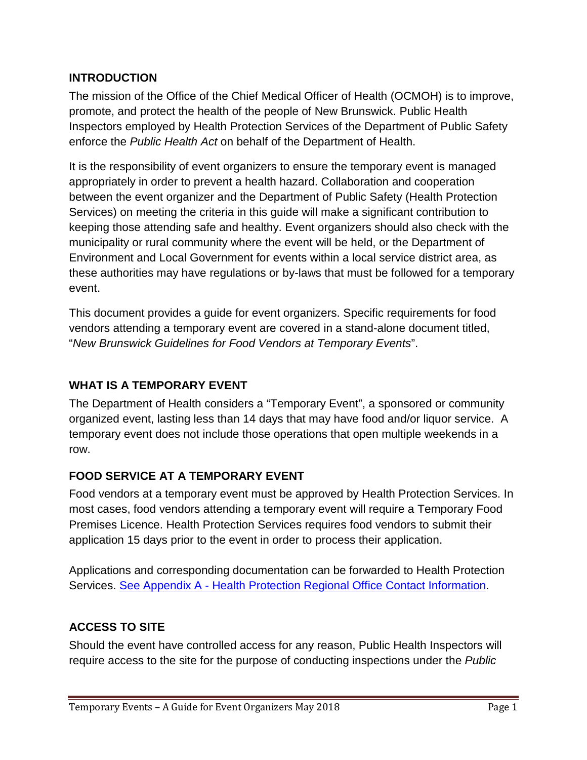## <span id="page-2-0"></span>**INTRODUCTION**

The mission of the Office of the Chief Medical Officer of Health (OCMOH) is to improve, promote, and protect the health of the people of New Brunswick. Public Health Inspectors employed by Health Protection Services of the Department of Public Safety enforce the *Public Health Act* on behalf of the Department of Health.

It is the responsibility of event organizers to ensure the temporary event is managed appropriately in order to prevent a health hazard. Collaboration and cooperation between the event organizer and the Department of Public Safety (Health Protection Services) on meeting the criteria in this guide will make a significant contribution to keeping those attending safe and healthy. Event organizers should also check with the municipality or rural community where the event will be held, or the Department of Environment and Local Government for events within a local service district area, as these authorities may have regulations or by-laws that must be followed for a temporary event.

This document provides a guide for event organizers. Specific requirements for food vendors attending a temporary event are covered in a stand-alone document titled, "*New Brunswick Guidelines for Food Vendors at Temporary Events*".

# <span id="page-2-1"></span>**WHAT IS A TEMPORARY EVENT**

The Department of Health considers a "Temporary Event", a sponsored or community organized event, lasting less than 14 days that may have food and/or liquor service. A temporary event does not include those operations that open multiple weekends in a row.

#### <span id="page-2-2"></span>**FOOD SERVICE AT A TEMPORARY EVENT**

Food vendors at a temporary event must be approved by Health Protection Services. In most cases, food vendors attending a temporary event will require a Temporary Food Premises Licence. Health Protection Services requires food vendors to submit their application 15 days prior to the event in order to process their application.

Applications and corresponding documentation can be forwarded to Health Protection Services. See Appendix A - [Health Protection Regional Office Contact Information.](#page-10-0)

# <span id="page-2-3"></span>**ACCESS TO SITE**

Should the event have controlled access for any reason, Public Health Inspectors will require access to the site for the purpose of conducting inspections under the *Public*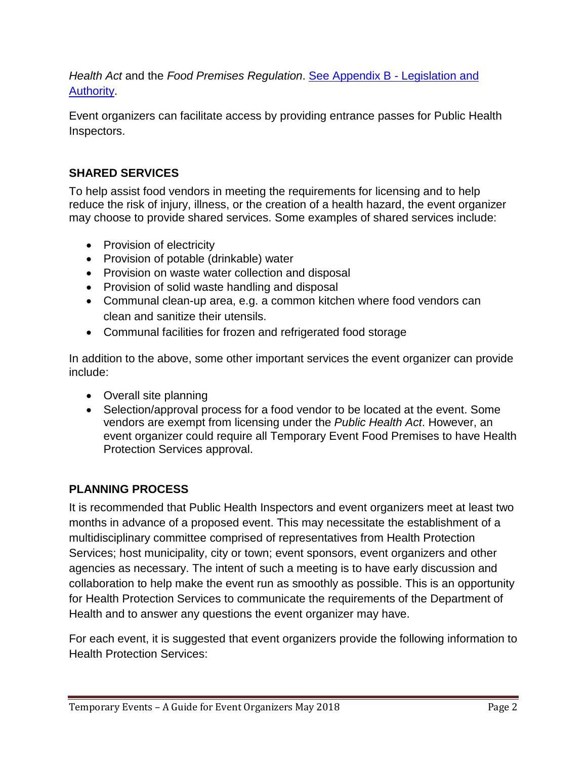*Health Act* and the *Food Premises Regulation*. [See Appendix B -](#page-11-0) Legislation and [Authority.](#page-11-0)

Event organizers can facilitate access by providing entrance passes for Public Health Inspectors.

# <span id="page-3-0"></span>**SHARED SERVICES**

To help assist food vendors in meeting the requirements for licensing and to help reduce the risk of injury, illness, or the creation of a health hazard, the event organizer may choose to provide shared services. Some examples of shared services include:

- Provision of electricity
- Provision of potable (drinkable) water
- Provision on waste water collection and disposal
- Provision of solid waste handling and disposal
- Communal clean-up area, e.g. a common kitchen where food vendors can clean and sanitize their utensils.
- Communal facilities for frozen and refrigerated food storage

In addition to the above, some other important services the event organizer can provide include:

- Overall site planning
- Selection/approval process for a food vendor to be located at the event. Some vendors are exempt from licensing under the *Public Health Act*. However, an event organizer could require all Temporary Event Food Premises to have Health Protection Services approval.

# <span id="page-3-1"></span>**PLANNING PROCESS**

It is recommended that Public Health Inspectors and event organizers meet at least two months in advance of a proposed event. This may necessitate the establishment of a multidisciplinary committee comprised of representatives from Health Protection Services; host municipality, city or town; event sponsors, event organizers and other agencies as necessary. The intent of such a meeting is to have early discussion and collaboration to help make the event run as smoothly as possible. This is an opportunity for Health Protection Services to communicate the requirements of the Department of Health and to answer any questions the event organizer may have.

For each event, it is suggested that event organizers provide the following information to Health Protection Services: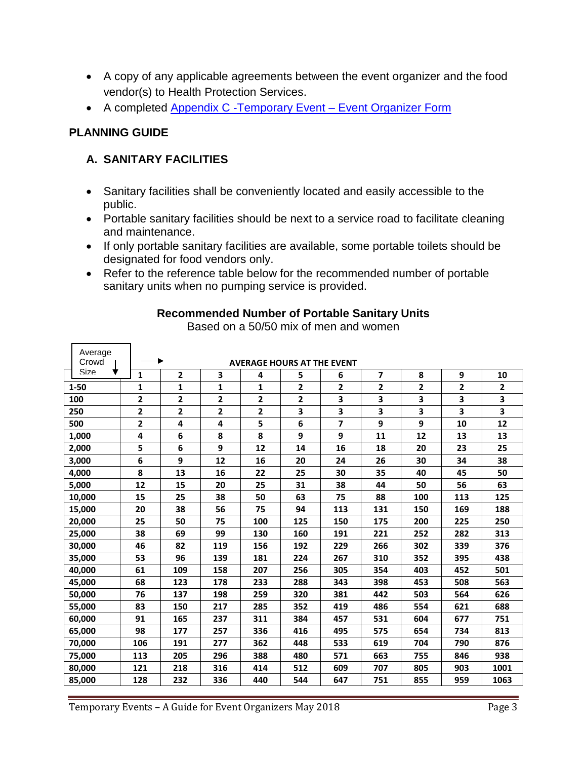- A copy of any applicable agreements between the event organizer and the food vendor(s) to Health Protection Services.
- A completed [Appendix C -Temporary Event –](#page-13-0) Event Organizer Form

## <span id="page-4-1"></span><span id="page-4-0"></span>**PLANNING GUIDE**

# **A. SANITARY FACILITIES**

- Sanitary facilities shall be conveniently located and easily accessible to the public.
- Portable sanitary facilities should be next to a service road to facilitate cleaning and maintenance.
- If only portable sanitary facilities are available, some portable toilets should be designated for food vendors only.
- Refer to the reference table below for the recommended number of portable sanitary units when no pumping service is provided.

| Average                                    |                         |                         |                         |                         |                |                |                          |                         |              |              |
|--------------------------------------------|-------------------------|-------------------------|-------------------------|-------------------------|----------------|----------------|--------------------------|-------------------------|--------------|--------------|
| Crowd<br><b>AVERAGE HOURS AT THE EVENT</b> |                         |                         |                         |                         |                |                |                          |                         |              |              |
| Size<br>▼                                  | $\mathbf{1}$            | $\mathbf{2}$            | 3                       | 4                       | 5              | 6              | $\overline{\phantom{a}}$ | 8                       | 9            | 10           |
| $1 - 50$                                   | 1                       | 1                       | 1                       | 1                       | $\overline{2}$ | $\overline{2}$ | $\mathbf{2}$             | $\overline{\mathbf{2}}$ | $\mathbf{2}$ | $\mathbf{2}$ |
| 100                                        | $\mathbf{2}$            | $\overline{\mathbf{2}}$ | $\overline{\mathbf{2}}$ | $\overline{\mathbf{2}}$ | $\mathbf{2}$   | 3              | 3                        | 3                       | 3            | 3            |
| 250                                        | 2                       | $\overline{2}$          | 2                       | 2                       | 3              | 3              | 3                        | 3                       | 3            | 3            |
| 500                                        | $\overline{\mathbf{2}}$ | 4                       | 4                       | 5                       | 6              | 7              | 9                        | 9                       | 10           | 12           |
| 1,000                                      | 4                       | 6                       | 8                       | 8                       | 9              | 9              | 11                       | 12                      | 13           | 13           |
| 2,000                                      | 5                       | 6                       | 9                       | 12                      | 14             | 16             | 18                       | 20                      | 23           | 25           |
| 3,000                                      | 6                       | 9                       | 12                      | 16                      | 20             | 24             | 26                       | 30                      | 34           | 38           |
| 4,000                                      | 8                       | 13                      | 16                      | 22                      | 25             | 30             | 35                       | 40                      | 45           | 50           |
| 5,000                                      | 12                      | 15                      | 20                      | 25                      | 31             | 38             | 44                       | 50                      | 56           | 63           |
| 10,000                                     | 15                      | 25                      | 38                      | 50                      | 63             | 75             | 88                       | 100                     | 113          | 125          |
| 15,000                                     | 20                      | 38                      | 56                      | 75                      | 94             | 113            | 131                      | 150                     | 169          | 188          |
| 20,000                                     | 25                      | 50                      | 75                      | 100                     | 125            | 150            | 175                      | 200                     | 225          | 250          |
| 25,000                                     | 38                      | 69                      | 99                      | 130                     | 160            | 191            | 221                      | 252                     | 282          | 313          |
| 30,000                                     | 46                      | 82                      | 119                     | 156                     | 192            | 229            | 266                      | 302                     | 339          | 376          |
| 35,000                                     | 53                      | 96                      | 139                     | 181                     | 224            | 267            | 310                      | 352                     | 395          | 438          |
| 40,000                                     | 61                      | 109                     | 158                     | 207                     | 256            | 305            | 354                      | 403                     | 452          | 501          |
| 45,000                                     | 68                      | 123                     | 178                     | 233                     | 288            | 343            | 398                      | 453                     | 508          | 563          |
| 50,000                                     | 76                      | 137                     | 198                     | 259                     | 320            | 381            | 442                      | 503                     | 564          | 626          |
| 55,000                                     | 83                      | 150                     | 217                     | 285                     | 352            | 419            | 486                      | 554                     | 621          | 688          |
| 60,000                                     | 91                      | 165                     | 237                     | 311                     | 384            | 457            | 531                      | 604                     | 677          | 751          |
| 65,000                                     | 98                      | 177                     | 257                     | 336                     | 416            | 495            | 575                      | 654                     | 734          | 813          |
| 70,000                                     | 106                     | 191                     | 277                     | 362                     | 448            | 533            | 619                      | 704                     | 790          | 876          |
| 75,000                                     | 113                     | 205                     | 296                     | 388                     | 480            | 571            | 663                      | 755                     | 846          | 938          |
| 80,000                                     | 121                     | 218                     | 316                     | 414                     | 512            | 609            | 707                      | 805                     | 903          | 1001         |
| 85,000                                     | 128                     | 232                     | 336                     | 440                     | 544            | 647            | 751                      | 855                     | 959          | 1063         |

#### **Recommended Number of Portable Sanitary Units**

Based on a 50/50 mix of men and women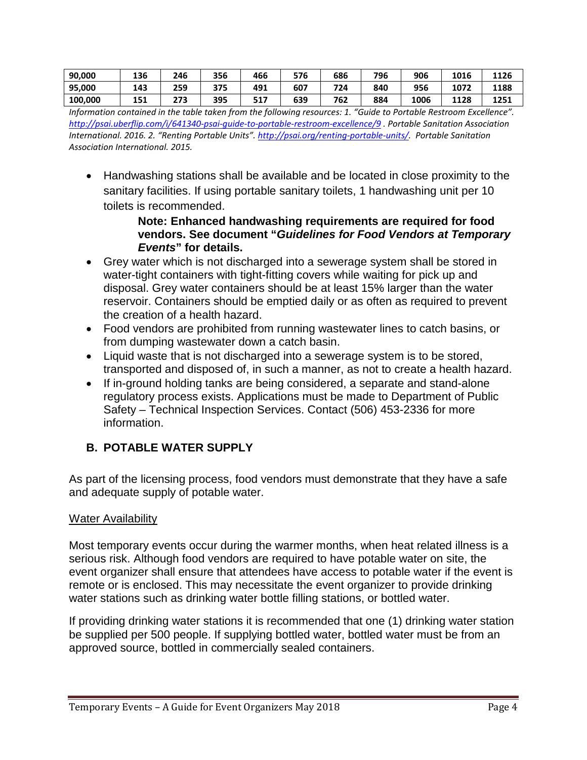| 90,000  | 136 | 246 | 356        | 466 | 576 | 686 | 796 | 906  | 1016 | 1126 |
|---------|-----|-----|------------|-----|-----|-----|-----|------|------|------|
| 95,000  | 143 | 259 | 375<br>J 1 | 491 | 607 | 724 | 840 | 956  | 1072 | 1188 |
| 100,000 | 151 | 273 | 395        | 517 | 639 | 762 | 884 | 1006 | 1128 | 1251 |

*Information contained in the table taken from the following resources: 1. "Guide to Portable Restroom Excellence". <http://psai.uberflip.com/i/641340-psai-guide-to-portable-restroom-excellence/9> . Portable Sanitation Association International. 2016. 2. "Renting Portable Units". [http://psai.org/renting-portable-units/.](http://psai.org/renting-portable-units/) Portable Sanitation Association International. 2015.* 

• Handwashing stations shall be available and be located in close proximity to the sanitary facilities. If using portable sanitary toilets, 1 handwashing unit per 10 toilets is recommended.

#### **Note: Enhanced handwashing requirements are required for food vendors. See document "***Guidelines for Food Vendors at Temporary Events***" for details.**

- Grey water which is not discharged into a sewerage system shall be stored in water-tight containers with tight-fitting covers while waiting for pick up and disposal. Grey water containers should be at least 15% larger than the water reservoir. Containers should be emptied daily or as often as required to prevent the creation of a health hazard.
- Food vendors are prohibited from running wastewater lines to catch basins, or from dumping wastewater down a catch basin.
- Liquid waste that is not discharged into a sewerage system is to be stored, transported and disposed of, in such a manner, as not to create a health hazard.
- If in-ground holding tanks are being considered, a separate and stand-alone regulatory process exists. Applications must be made to Department of Public Safety – Technical Inspection Services. Contact (506) 453-2336 for more information.

# <span id="page-5-0"></span>**B. POTABLE WATER SUPPLY**

As part of the licensing process, food vendors must demonstrate that they have a safe and adequate supply of potable water.

# Water Availability

Most temporary events occur during the warmer months, when heat related illness is a serious risk. Although food vendors are required to have potable water on site, the event organizer shall ensure that attendees have access to potable water if the event is remote or is enclosed. This may necessitate the event organizer to provide drinking water stations such as drinking water bottle filling stations, or bottled water.

If providing drinking water stations it is recommended that one (1) drinking water station be supplied per 500 people. If supplying bottled water, bottled water must be from an approved source, bottled in commercially sealed containers.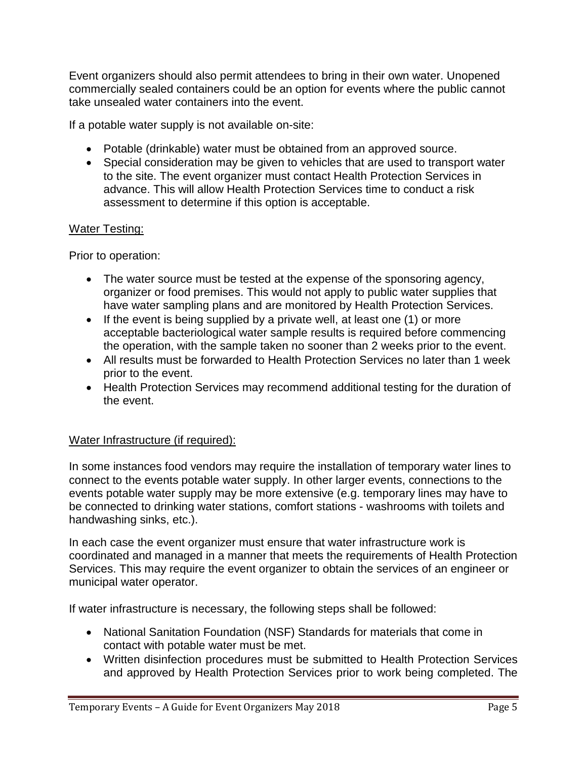Event organizers should also permit attendees to bring in their own water. Unopened commercially sealed containers could be an option for events where the public cannot take unsealed water containers into the event.

If a potable water supply is not available on-site:

- Potable (drinkable) water must be obtained from an approved source.
- Special consideration may be given to vehicles that are used to transport water to the site. The event organizer must contact Health Protection Services in advance. This will allow Health Protection Services time to conduct a risk assessment to determine if this option is acceptable.

#### Water Testing:

Prior to operation:

- The water source must be tested at the expense of the sponsoring agency, organizer or food premises. This would not apply to public water supplies that have water sampling plans and are monitored by Health Protection Services.
- If the event is being supplied by a private well, at least one (1) or more acceptable bacteriological water sample results is required before commencing the operation, with the sample taken no sooner than 2 weeks prior to the event.
- All results must be forwarded to Health Protection Services no later than 1 week prior to the event.
- Health Protection Services may recommend additional testing for the duration of the event.

#### Water Infrastructure (if required):

In some instances food vendors may require the installation of temporary water lines to connect to the events potable water supply. In other larger events, connections to the events potable water supply may be more extensive (e.g. temporary lines may have to be connected to drinking water stations, comfort stations - washrooms with toilets and handwashing sinks, etc.).

In each case the event organizer must ensure that water infrastructure work is coordinated and managed in a manner that meets the requirements of Health Protection Services. This may require the event organizer to obtain the services of an engineer or municipal water operator.

If water infrastructure is necessary, the following steps shall be followed:

- National Sanitation Foundation (NSF) Standards for materials that come in contact with potable water must be met.
- Written disinfection procedures must be submitted to Health Protection Services and approved by Health Protection Services prior to work being completed. The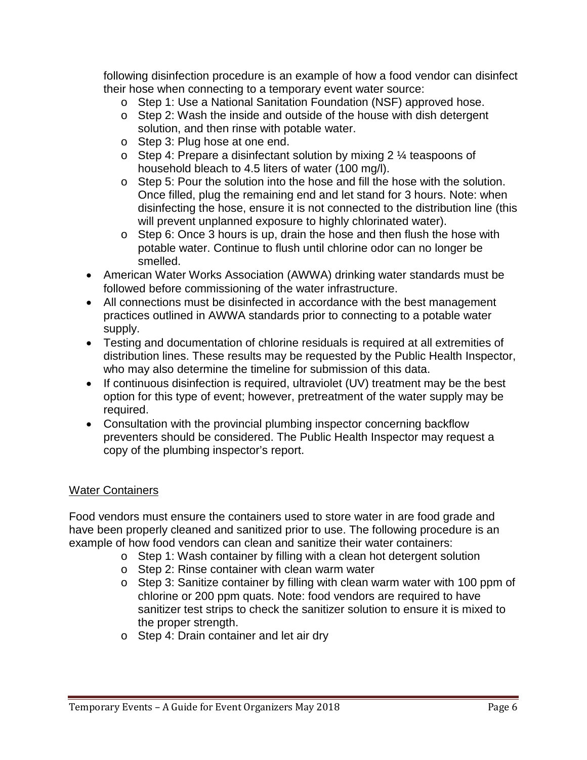following disinfection procedure is an example of how a food vendor can disinfect their hose when connecting to a temporary event water source:

- o Step 1: Use a National Sanitation Foundation (NSF) approved hose.
- o Step 2: Wash the inside and outside of the house with dish detergent solution, and then rinse with potable water.
- o Step 3: Plug hose at one end.
- $\circ$  Step 4: Prepare a disinfectant solution by mixing 2  $\frac{1}{4}$  teaspoons of household bleach to 4.5 liters of water (100 mg/l).
- o Step 5: Pour the solution into the hose and fill the hose with the solution. Once filled, plug the remaining end and let stand for 3 hours. Note: when disinfecting the hose, ensure it is not connected to the distribution line (this will prevent unplanned exposure to highly chlorinated water).
- o Step 6: Once 3 hours is up, drain the hose and then flush the hose with potable water. Continue to flush until chlorine odor can no longer be smelled.
- American Water Works Association (AWWA) drinking water standards must be followed before commissioning of the water infrastructure.
- All connections must be disinfected in accordance with the best management practices outlined in AWWA standards prior to connecting to a potable water supply.
- Testing and documentation of chlorine residuals is required at all extremities of distribution lines. These results may be requested by the Public Health Inspector, who may also determine the timeline for submission of this data.
- If continuous disinfection is required, ultraviolet (UV) treatment may be the best option for this type of event; however, pretreatment of the water supply may be required.
- Consultation with the provincial plumbing inspector concerning backflow preventers should be considered. The Public Health Inspector may request a copy of the plumbing inspector's report.

#### Water Containers

Food vendors must ensure the containers used to store water in are food grade and have been properly cleaned and sanitized prior to use. The following procedure is an example of how food vendors can clean and sanitize their water containers:

- o Step 1: Wash container by filling with a clean hot detergent solution
- o Step 2: Rinse container with clean warm water
- o Step 3: Sanitize container by filling with clean warm water with 100 ppm of chlorine or 200 ppm quats. Note: food vendors are required to have sanitizer test strips to check the sanitizer solution to ensure it is mixed to the proper strength.
- o Step 4: Drain container and let air dry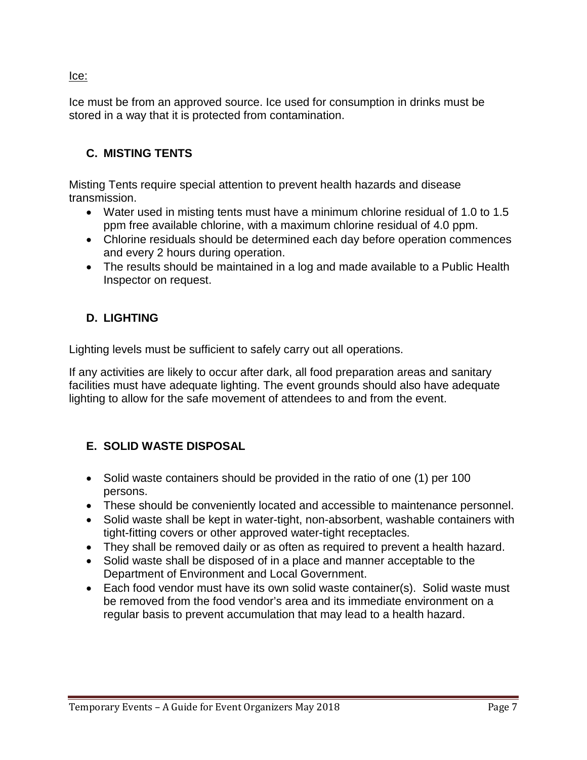#### Ice:

Ice must be from an approved source. Ice used for consumption in drinks must be stored in a way that it is protected from contamination.

#### <span id="page-8-0"></span>**C. MISTING TENTS**

Misting Tents require special attention to prevent health hazards and disease transmission.

- Water used in misting tents must have a minimum chlorine residual of 1.0 to 1.5 ppm free available chlorine, with a maximum chlorine residual of 4.0 ppm.
- Chlorine residuals should be determined each day before operation commences and every 2 hours during operation.
- The results should be maintained in a log and made available to a Public Health Inspector on request.

## <span id="page-8-1"></span>**D. LIGHTING**

Lighting levels must be sufficient to safely carry out all operations.

If any activities are likely to occur after dark, all food preparation areas and sanitary facilities must have adequate lighting. The event grounds should also have adequate lighting to allow for the safe movement of attendees to and from the event.

# <span id="page-8-2"></span>**E. SOLID WASTE DISPOSAL**

- Solid waste containers should be provided in the ratio of one (1) per 100 persons.
- These should be conveniently located and accessible to maintenance personnel.
- Solid waste shall be kept in water-tight, non-absorbent, washable containers with tight-fitting covers or other approved water-tight receptacles.
- They shall be removed daily or as often as required to prevent a health hazard.
- Solid waste shall be disposed of in a place and manner acceptable to the Department of Environment and Local Government.
- Each food vendor must have its own solid waste container(s). Solid waste must be removed from the food vendor's area and its immediate environment on a regular basis to prevent accumulation that may lead to a health hazard.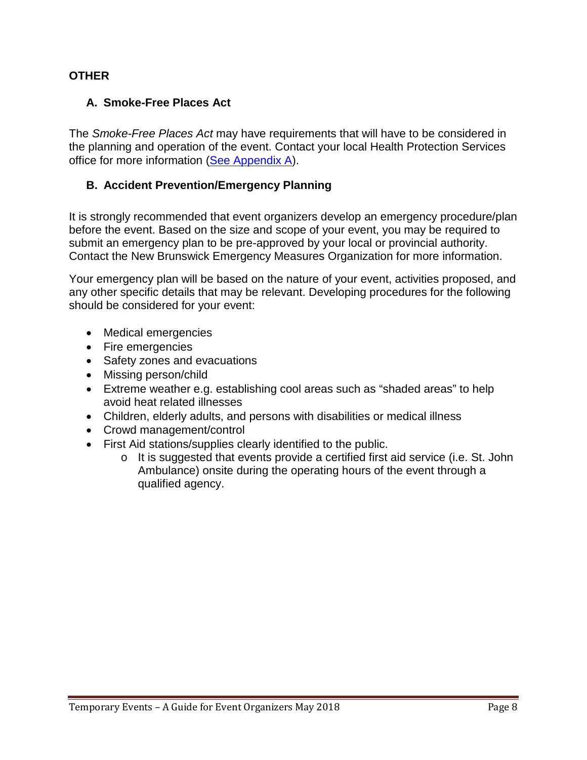#### <span id="page-9-1"></span><span id="page-9-0"></span>**OTHER**

#### **A. Smoke-Free Places Act**

The *Smoke-Free Places Act* may have requirements that will have to be considered in the planning and operation of the event. Contact your local Health Protection Services office for more information [\(See Appendix A\)](#page-10-1).

#### <span id="page-9-2"></span>**B. Accident Prevention/Emergency Planning**

It is strongly recommended that event organizers develop an emergency procedure/plan before the event. Based on the size and scope of your event, you may be required to submit an emergency plan to be pre-approved by your local or provincial authority. Contact the New Brunswick Emergency Measures Organization for more information.

Your emergency plan will be based on the nature of your event, activities proposed, and any other specific details that may be relevant. Developing procedures for the following should be considered for your event:

- Medical emergencies
- Fire emergencies
- Safety zones and evacuations
- Missing person/child
- Extreme weather e.g. establishing cool areas such as "shaded areas" to help avoid heat related illnesses
- Children, elderly adults, and persons with disabilities or medical illness
- Crowd management/control
- First Aid stations/supplies clearly identified to the public.
	- o It is suggested that events provide a certified first aid service (i.e. St. John Ambulance) onsite during the operating hours of the event through a qualified agency.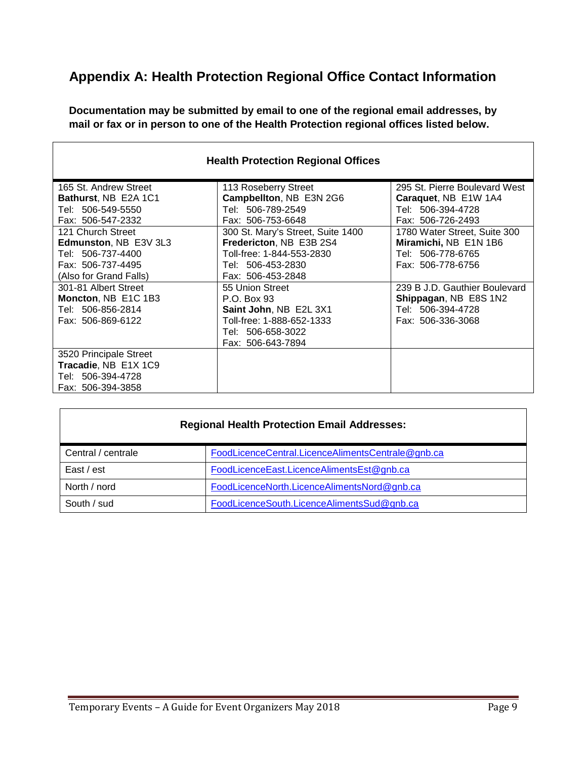# <span id="page-10-1"></span><span id="page-10-0"></span>**Appendix A: Health Protection Regional Office Contact Information**

**Documentation may be submitted by email to one of the regional email addresses, by mail or fax or in person to one of the Health Protection regional offices listed below.**

| <b>Health Protection Regional Offices</b>                                                                             |                                                                                                                                     |                                                                                                  |  |  |
|-----------------------------------------------------------------------------------------------------------------------|-------------------------------------------------------------------------------------------------------------------------------------|--------------------------------------------------------------------------------------------------|--|--|
| 165 St. Andrew Street<br><b>Bathurst, NB E2A 1C1</b><br>Tel: 506-549-5550<br>Fax: 506-547-2332                        | 113 Roseberry Street<br>Campbellton, NB E3N 2G6<br>Tel: 506-789-2549<br>Fax: 506-753-6648                                           | 295 St. Pierre Boulevard West<br>Caraquet, NB E1W 1A4<br>Tel: 506-394-4728<br>Fax: 506-726-2493  |  |  |
| 121 Church Street<br><b>Edmunston, NB E3V 3L3</b><br>Tel: 506-737-4400<br>Fax: 506-737-4495<br>(Also for Grand Falls) | 300 St. Mary's Street, Suite 1400<br>Fredericton, NB E3B 2S4<br>Toll-free: 1-844-553-2830<br>Tel: 506-453-2830<br>Fax: 506-453-2848 | 1780 Water Street, Suite 300<br>Miramichi, NB E1N 1B6<br>Tel: 506-778-6765<br>Fax: 506-778-6756  |  |  |
| 301-81 Albert Street<br>Moncton, NB E1C 1B3<br>Tel: 506-856-2814<br>Fax: 506-869-6122                                 | 55 Union Street<br>P.O. Box 93<br>Saint John, NB E2L 3X1<br>Toll-free: 1-888-652-1333<br>Tel: 506-658-3022<br>Fax: 506-643-7894     | 239 B J.D. Gauthier Boulevard<br>Shippagan, NB E8S 1N2<br>Tel: 506-394-4728<br>Fax: 506-336-3068 |  |  |
| 3520 Principale Street<br>Tracadie, NB E1X 1C9<br>Tel: 506-394-4728<br>Fax: 506-394-3858                              |                                                                                                                                     |                                                                                                  |  |  |

| <b>Regional Health Protection Email Addresses:</b> |                                                   |  |  |  |
|----------------------------------------------------|---------------------------------------------------|--|--|--|
| Central / centrale                                 | FoodLicenceCentral.LicenceAlimentsCentrale@gnb.ca |  |  |  |
| East / est                                         | FoodLicenceEast.LicenceAlimentsEst@gnb.ca         |  |  |  |
| North / nord                                       | FoodLicenceNorth.LicenceAlimentsNord@gnb.ca       |  |  |  |
| South / sud                                        | FoodLicenceSouth.LicenceAlimentsSud@gnb.ca        |  |  |  |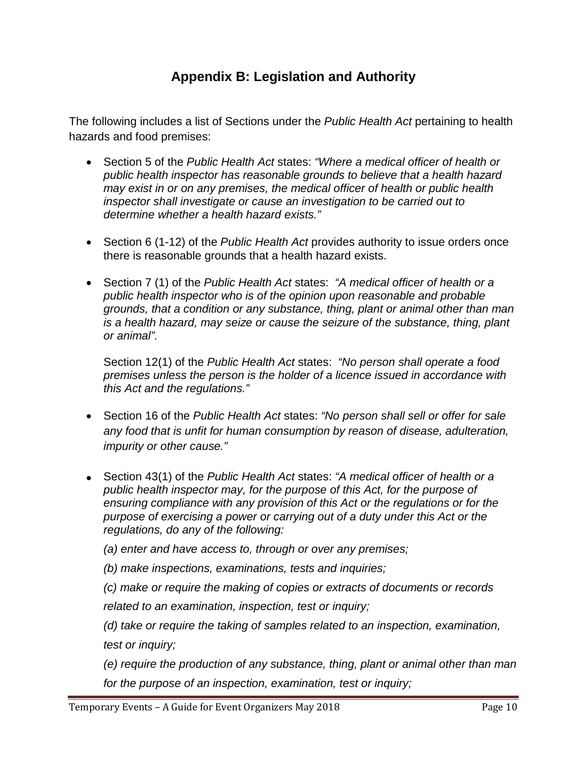# **Appendix B: Legislation and Authority**

<span id="page-11-0"></span>The following includes a list of Sections under the *Public Health Act* pertaining to health hazards and food premises:

- Section 5 of the *Public Health Act* states: *"Where a medical officer of health or public health inspector has reasonable grounds to believe that a health hazard may exist in or on any premises, the medical officer of health or public health inspector shall investigate or cause an investigation to be carried out to determine whether a health hazard exists."*
- Section 6 (1-12) of the *Public Health Act* provides authority to issue orders once there is reasonable grounds that a health hazard exists.
- Section 7 (1) of the *Public Health Act* states: *"A medical officer of health or a public health inspector who is of the opinion upon reasonable and probable grounds, that a condition or any substance, thing, plant or animal other than man is a health hazard, may seize or cause the seizure of the substance, thing, plant or animal".*

Section 12(1) of the *Public Health Act* states: *"No person shall operate a food premises unless the person is the holder of a licence issued in accordance with this Act and the regulations."*

- Section 16 of the *Public Health Act* states: *"No person shall sell or offer for sale any food that is unfit for human consumption by reason of disease, adulteration, impurity or other cause."*
- Section 43(1) of the *Public Health Act* states: *"A medical officer of health or a public health inspector may, for the purpose of this Act, for the purpose of ensuring compliance with any provision of this Act or the regulations or for the purpose of exercising a power or carrying out of a duty under this Act or the regulations, do any of the following:*

*(a) enter and have access to, through or over any premises;*

*(b) make inspections, examinations, tests and inquiries;*

*(c) make or require the making of copies or extracts of documents or records* 

*related to an examination, inspection, test or inquiry;*

*(d) take or require the taking of samples related to an inspection, examination, test or inquiry;*

*(e) require the production of any substance, thing, plant or animal other than man for the purpose of an inspection, examination, test or inquiry;*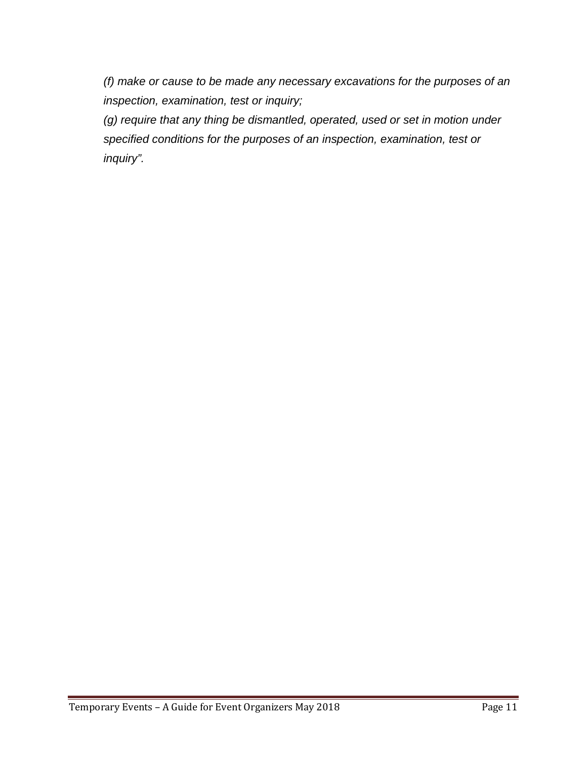*(f) make or cause to be made any necessary excavations for the purposes of an inspection, examination, test or inquiry;*

*(g) require that any thing be dismantled, operated, used or set in motion under specified conditions for the purposes of an inspection, examination, test or inquiry".*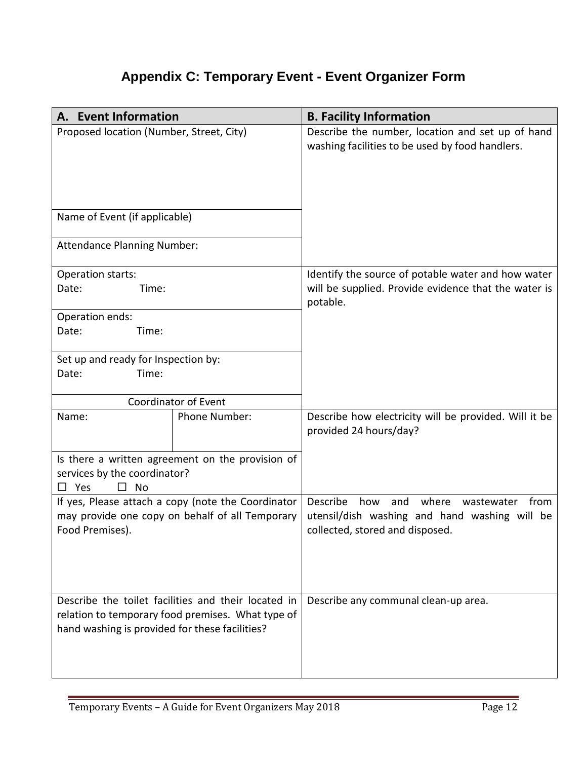# **Appendix C: Temporary Event - Event Organizer Form**

<span id="page-13-0"></span>

| A. Event Information                           |                                                                                                          | <b>B. Facility Information</b>                                                                                                            |
|------------------------------------------------|----------------------------------------------------------------------------------------------------------|-------------------------------------------------------------------------------------------------------------------------------------------|
| Proposed location (Number, Street, City)       |                                                                                                          | Describe the number, location and set up of hand<br>washing facilities to be used by food handlers.                                       |
| Name of Event (if applicable)                  |                                                                                                          |                                                                                                                                           |
| <b>Attendance Planning Number:</b>             |                                                                                                          |                                                                                                                                           |
| Operation starts:<br>Date:<br>Time:            |                                                                                                          | Identify the source of potable water and how water<br>will be supplied. Provide evidence that the water is<br>potable.                    |
| Operation ends:                                |                                                                                                          |                                                                                                                                           |
| Date:<br>Time:                                 |                                                                                                          |                                                                                                                                           |
| Set up and ready for Inspection by:            |                                                                                                          |                                                                                                                                           |
| Date:<br>Time:                                 |                                                                                                          |                                                                                                                                           |
|                                                | Coordinator of Event                                                                                     |                                                                                                                                           |
| Name:                                          | Phone Number:                                                                                            | Describe how electricity will be provided. Will it be<br>provided 24 hours/day?                                                           |
|                                                | Is there a written agreement on the provision of                                                         |                                                                                                                                           |
| services by the coordinator?                   |                                                                                                          |                                                                                                                                           |
| <b>No</b><br>Yes<br>$\Box$<br>ப                |                                                                                                          |                                                                                                                                           |
| Food Premises).                                | If yes, Please attach a copy (note the Coordinator<br>may provide one copy on behalf of all Temporary    | Describe<br>where<br>how<br>and<br>wastewater<br>from<br>utensil/dish washing and hand washing will be<br>collected, stored and disposed. |
|                                                |                                                                                                          |                                                                                                                                           |
| hand washing is provided for these facilities? | Describe the toilet facilities and their located in<br>relation to temporary food premises. What type of | Describe any communal clean-up area.                                                                                                      |
|                                                |                                                                                                          |                                                                                                                                           |